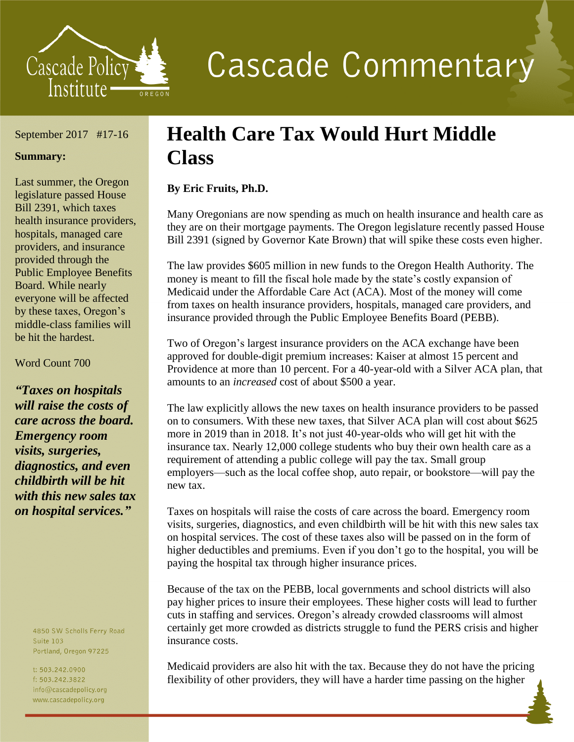

# **Cascade Commentary**

#### September 2017 #17-16

#### **Summary:**

Last summer, the Oregon legislature passed House Bill 2391, which taxes health insurance providers, hospitals, managed care providers, and insurance provided through the Public Employee Benefits Board. While nearly everyone will be affected by these taxes, Oregon's middle-class families will be hit the hardest.

#### Word Count 700

*"Taxes on hospitals will raise the costs of care across the board. Emergency room visits, surgeries, diagnostics, and even childbirth will be hit with this new sales tax on hospital services."*

> 4850 SW Scholls Ferry Road **Suite 103** Portland, Oregon 97225

t: 503.242.0900 f: 503.242.3822 info@cascadepolicy.org www.cascadepolicy.org

## **Health Care Tax Would Hurt Middle Class**

### **By Eric Fruits, Ph.D.**

Many Oregonians are now spending as much on health insurance and health care as they are on their mortgage payments. The Oregon legislature recently passed House Bill 2391 (signed by Governor Kate Brown) that will spike these costs even higher.

The law provides \$605 million in new funds to the Oregon Health Authority. The money is meant to fill the fiscal hole made by the state's costly expansion of Medicaid under the Affordable Care Act (ACA). Most of the money will come from taxes on health insurance providers, hospitals, managed care providers, and insurance provided through the Public Employee Benefits Board (PEBB).

Two of Oregon's largest insurance providers on the ACA exchange have been approved for double-digit premium increases: Kaiser at almost 15 percent and Providence at more than 10 percent. For a 40-year-old with a Silver ACA plan, that amounts to an *increased* cost of about \$500 a year.

The law explicitly allows the new taxes on health insurance providers to be passed on to consumers. With these new taxes, that Silver ACA plan will cost about \$625 more in 2019 than in 2018. It's not just 40-year-olds who will get hit with the insurance tax. Nearly 12,000 college students who buy their own health care as a requirement of attending a public college will pay the tax. Small group employers—such as the local coffee shop, auto repair, or bookstore—will pay the new tax.

Taxes on hospitals will raise the costs of care across the board. Emergency room visits, surgeries, diagnostics, and even childbirth will be hit with this new sales tax on hospital services. The cost of these taxes also will be passed on in the form of higher deductibles and premiums. Even if you don't go to the hospital, you will be paying the hospital tax through higher insurance prices.

Because of the tax on the PEBB, local governments and school districts will also pay higher prices to insure their employees. These higher costs will lead to further cuts in staffing and services. Oregon's already crowded classrooms will almost certainly get more crowded as districts struggle to fund the PERS crisis and higher insurance costs.

Medicaid providers are also hit with the tax. Because they do not have the pricing flexibility of other providers, they will have a harder time passing on the higher